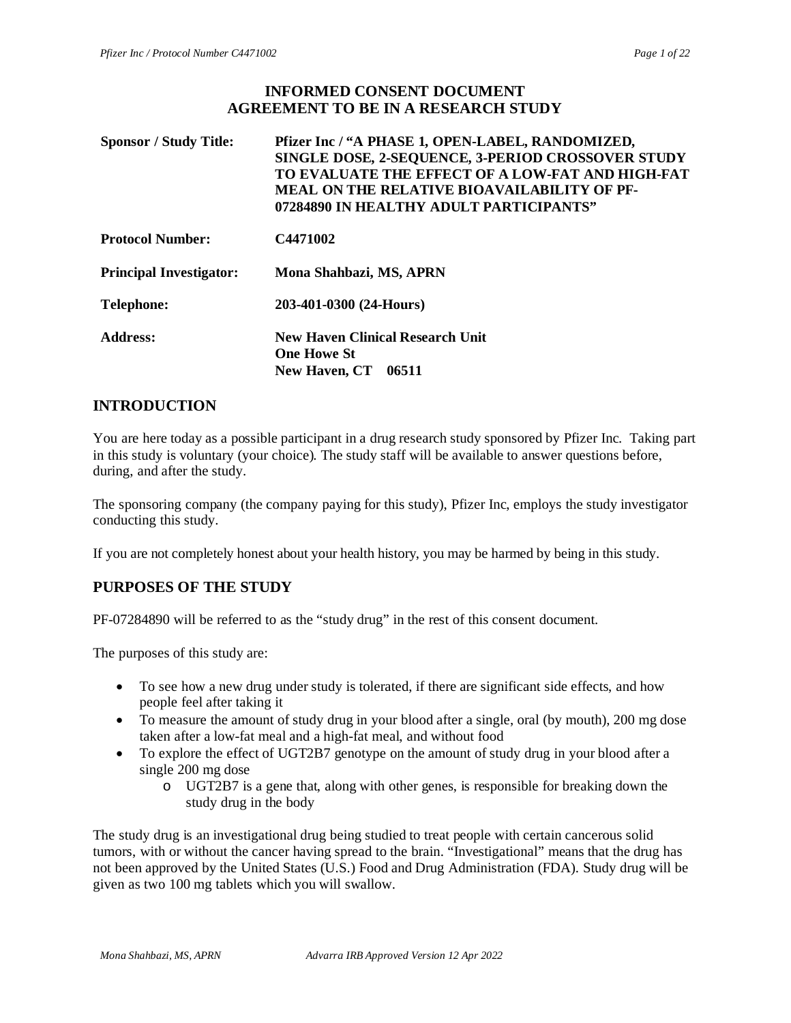## **INFORMED CONSENT DOCUMENT AGREEMENT TO BE IN A RESEARCH STUDY**

| <b>Sponsor / Study Title:</b>  | Pfizer Inc / "A PHASE 1, OPEN-LABEL, RANDOMIZED,<br>SINGLE DOSE, 2-SEQUENCE, 3-PERIOD CROSSOVER STUDY<br>TO EVALUATE THE EFFECT OF A LOW-FAT AND HIGH-FAT<br><b>MEAL ON THE RELATIVE BIOAVAILABILITY OF PF-</b><br>07284890 IN HEALTHY ADULT PARTICIPANTS" |
|--------------------------------|------------------------------------------------------------------------------------------------------------------------------------------------------------------------------------------------------------------------------------------------------------|
| <b>Protocol Number:</b>        | C4471002                                                                                                                                                                                                                                                   |
| <b>Principal Investigator:</b> | Mona Shahbazi, MS, APRN                                                                                                                                                                                                                                    |
| <b>Telephone:</b>              | 203-401-0300 (24-Hours)                                                                                                                                                                                                                                    |
| Address:                       | <b>New Haven Clinical Research Unit</b><br><b>One Howe St</b><br><b>New Haven, CT</b><br>06511                                                                                                                                                             |

## **INTRODUCTION**

You are here today as a possible participant in a drug research study sponsored by Pfizer Inc. Taking part in this study is voluntary (your choice). The study staff will be available to answer questions before, during, and after the study.

The sponsoring company (the company paying for this study), Pfizer Inc, employs the study investigator conducting this study.

If you are not completely honest about your health history, you may be harmed by being in this study.

## **PURPOSES OF THE STUDY**

PF-07284890 will be referred to as the "study drug" in the rest of this consent document.

The purposes of this study are:

- To see how a new drug under study is tolerated, if there are significant side effects, and how people feel after taking it
- To measure the amount of study drug in your blood after a single, oral (by mouth), 200 mg dose taken after a low-fat meal and a high-fat meal, and without food
- To explore the effect of UGT2B7 genotype on the amount of study drug in your blood after a single 200 mg dose
	- o UGT2B7 is a gene that, along with other genes, is responsible for breaking down the study drug in the body

The study drug is an investigational drug being studied to treat people with certain cancerous solid tumors, with or without the cancer having spread to the brain. "Investigational" means that the drug has not been approved by the United States (U.S.) Food and Drug Administration (FDA). Study drug will be given as two 100 mg tablets which you will swallow.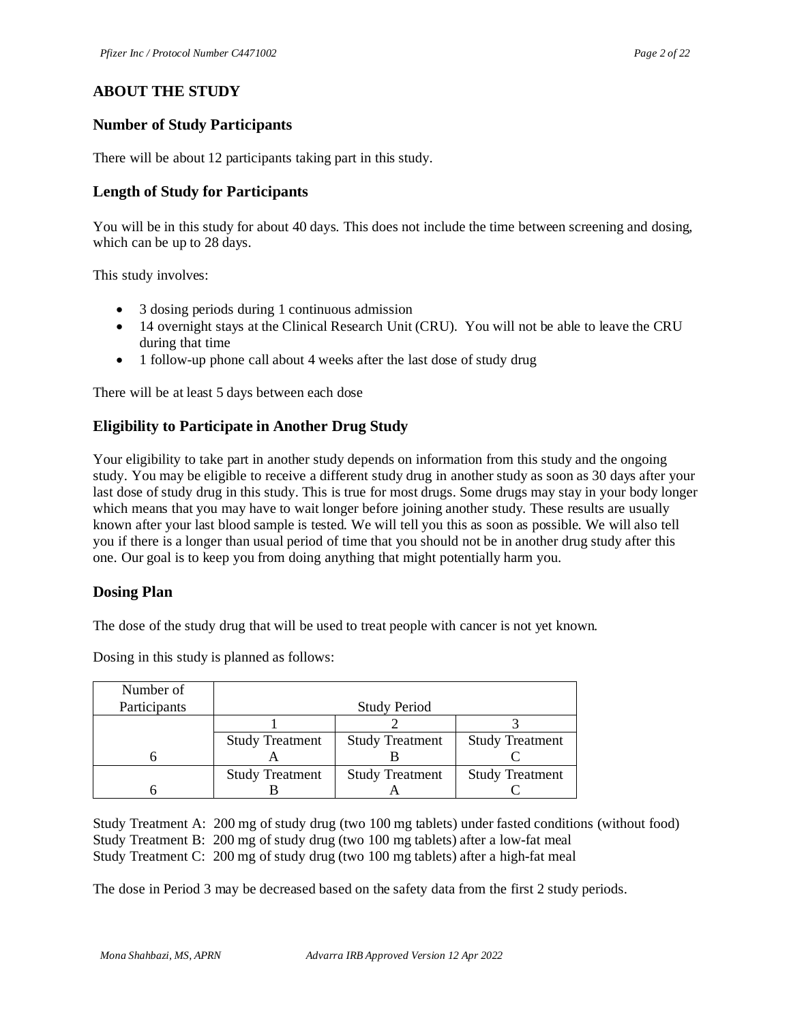## **ABOUT THE STUDY**

## **Number of Study Participants**

There will be about 12 participants taking part in this study.

## **Length of Study for Participants**

You will be in this study for about 40 days. This does not include the time between screening and dosing, which can be up to 28 days.

This study involves:

- 3 dosing periods during 1 continuous admission
- 14 overnight stays at the Clinical Research Unit (CRU). You will not be able to leave the CRU during that time
- 1 follow-up phone call about 4 weeks after the last dose of study drug

There will be at least 5 days between each dose

## **Eligibility to Participate in Another Drug Study**

Your eligibility to take part in another study depends on information from this study and the ongoing study. You may be eligible to receive a different study drug in another study as soon as 30 days after your last dose of study drug in this study. This is true for most drugs. Some drugs may stay in your body longer which means that you may have to wait longer before joining another study. These results are usually known after your last blood sample is tested. We will tell you this as soon as possible. We will also tell you if there is a longer than usual period of time that you should not be in another drug study after this one. Our goal is to keep you from doing anything that might potentially harm you.

#### **Dosing Plan**

The dose of the study drug that will be used to treat people with cancer is not yet known.

Dosing in this study is planned as follows:

| Number of<br>Participants |                        | <b>Study Period</b>    |                        |
|---------------------------|------------------------|------------------------|------------------------|
|                           |                        |                        |                        |
|                           | <b>Study Treatment</b> | <b>Study Treatment</b> | <b>Study Treatment</b> |
|                           |                        |                        |                        |
|                           | <b>Study Treatment</b> | <b>Study Treatment</b> | <b>Study Treatment</b> |
|                           |                        |                        |                        |

Study Treatment A: 200 mg of study drug (two 100 mg tablets) under fasted conditions (without food) Study Treatment B: 200 mg of study drug (two 100 mg tablets) after a low-fat meal Study Treatment C: 200 mg of study drug (two 100 mg tablets) after a high-fat meal

The dose in Period 3 may be decreased based on the safety data from the first 2 study periods.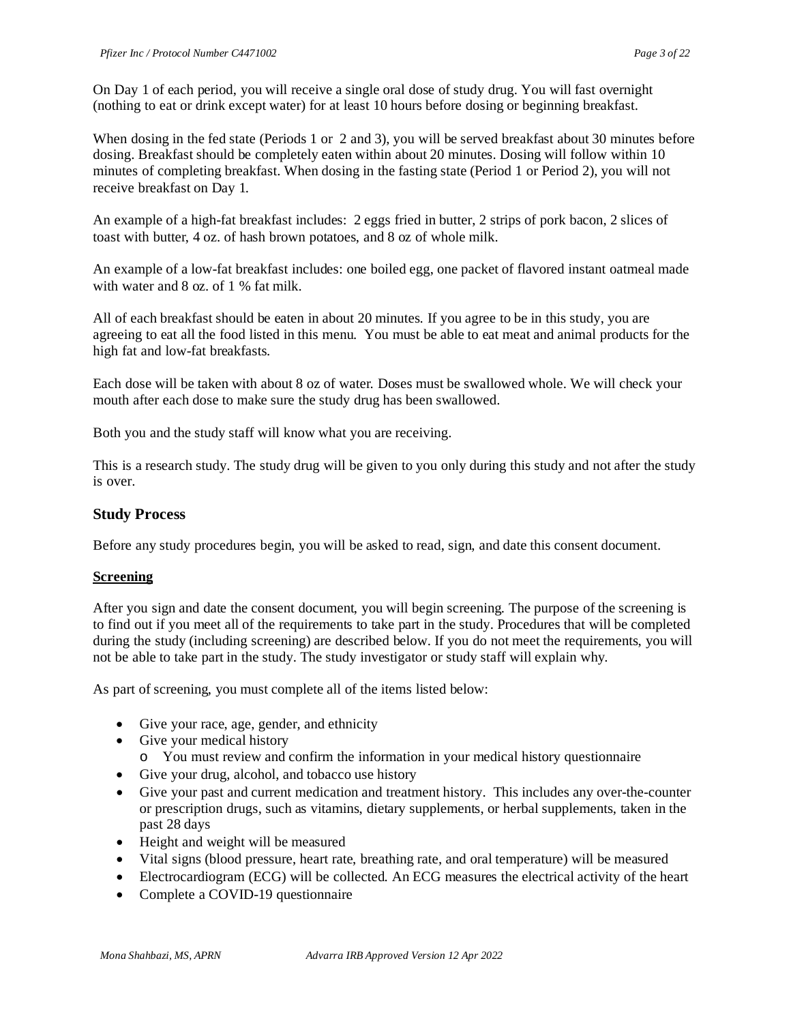On Day 1 of each period, you will receive a single oral dose of study drug. You will fast overnight (nothing to eat or drink except water) for at least 10 hours before dosing or beginning breakfast.

When dosing in the fed state (Periods 1 or 2 and 3), you will be served breakfast about 30 minutes before dosing. Breakfast should be completely eaten within about 20 minutes. Dosing will follow within 10 minutes of completing breakfast. When dosing in the fasting state (Period 1 or Period 2), you will not receive breakfast on Day 1.

An example of a high-fat breakfast includes: 2 eggs fried in butter, 2 strips of pork bacon, 2 slices of toast with butter, 4 oz. of hash brown potatoes, and 8 oz of whole milk.

An example of a low-fat breakfast includes: one boiled egg, one packet of flavored instant oatmeal made with water and 8 oz. of 1 % fat milk.

All of each breakfast should be eaten in about 20 minutes. If you agree to be in this study, you are agreeing to eat all the food listed in this menu. You must be able to eat meat and animal products for the high fat and low-fat breakfasts.

Each dose will be taken with about 8 oz of water. Doses must be swallowed whole. We will check your mouth after each dose to make sure the study drug has been swallowed.

Both you and the study staff will know what you are receiving.

This is a research study. The study drug will be given to you only during this study and not after the study is over.

## **Study Process**

Before any study procedures begin, you will be asked to read, sign, and date this consent document.

#### **Screening**

After you sign and date the consent document, you will begin screening. The purpose of the screening is to find out if you meet all of the requirements to take part in the study. Procedures that will be completed during the study (including screening) are described below. If you do not meet the requirements, you will not be able to take part in the study. The study investigator or study staff will explain why.

As part of screening, you must complete all of the items listed below:

- Give your race, age, gender, and ethnicity
- Give your medical history
	- o You must review and confirm the information in your medical history questionnaire
- Give your drug, alcohol, and tobacco use history
- Give your past and current medication and treatment history. This includes any over-the-counter or prescription drugs, such as vitamins, dietary supplements, or herbal supplements, taken in the past 28 days
- Height and weight will be measured
- Vital signs (blood pressure, heart rate, breathing rate, and oral temperature) will be measured
- Electrocardiogram (ECG) will be collected. An ECG measures the electrical activity of the heart
- Complete a COVID-19 questionnaire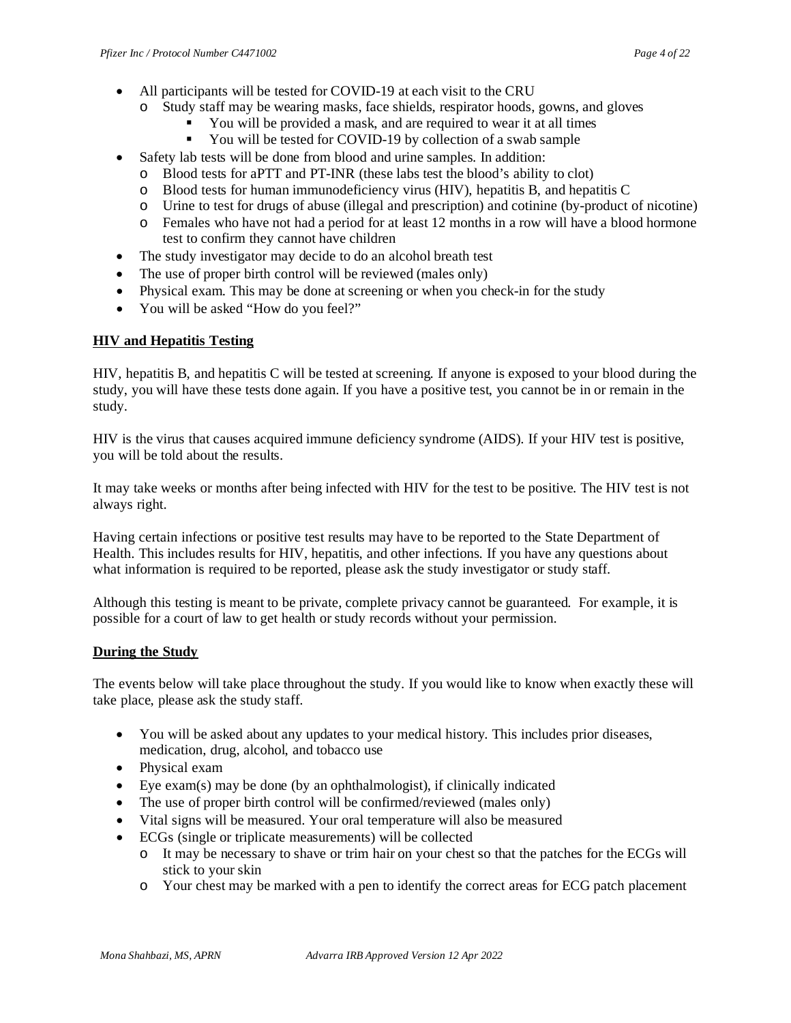- All participants will be tested for COVID-19 at each visit to the CRU
	- o Study staff may be wearing masks, face shields, respirator hoods, gowns, and gloves
		- You will be provided a mask, and are required to wear it at all times
		- You will be tested for COVID-19 by collection of a swab sample
- Safety lab tests will be done from blood and urine samples. In addition:
	- o Blood tests for aPTT and PT-INR (these labs test the blood's ability to clot)
	- o Blood tests for human immunodeficiency virus (HIV), hepatitis B, and hepatitis C
	- o Urine to test for drugs of abuse (illegal and prescription) and cotinine (by-product of nicotine)
	- o Females who have not had a period for at least 12 months in a row will have a blood hormone test to confirm they cannot have children
- The study investigator may decide to do an alcohol breath test
- The use of proper birth control will be reviewed (males only)
- Physical exam. This may be done at screening or when you check-in for the study
- You will be asked "How do you feel?"

#### **HIV and Hepatitis Testing**

HIV, hepatitis B, and hepatitis C will be tested at screening. If anyone is exposed to your blood during the study, you will have these tests done again. If you have a positive test, you cannot be in or remain in the study.

HIV is the virus that causes acquired immune deficiency syndrome (AIDS). If your HIV test is positive, you will be told about the results.

It may take weeks or months after being infected with HIV for the test to be positive. The HIV test is not always right.

Having certain infections or positive test results may have to be reported to the State Department of Health. This includes results for HIV, hepatitis, and other infections. If you have any questions about what information is required to be reported, please ask the study investigator or study staff.

Although this testing is meant to be private, complete privacy cannot be guaranteed. For example, it is possible for a court of law to get health or study records without your permission.

#### **During the Study**

The events below will take place throughout the study. If you would like to know when exactly these will take place, please ask the study staff.

- You will be asked about any updates to your medical history. This includes prior diseases, medication, drug, alcohol, and tobacco use
- Physical exam
- Eye exam(s) may be done (by an ophthalmologist), if clinically indicated
- The use of proper birth control will be confirmed/reviewed (males only)
- Vital signs will be measured. Your oral temperature will also be measured
- ECGs (single or triplicate measurements) will be collected
	- o It may be necessary to shave or trim hair on your chest so that the patches for the ECGs will stick to your skin
	- o Your chest may be marked with a pen to identify the correct areas for ECG patch placement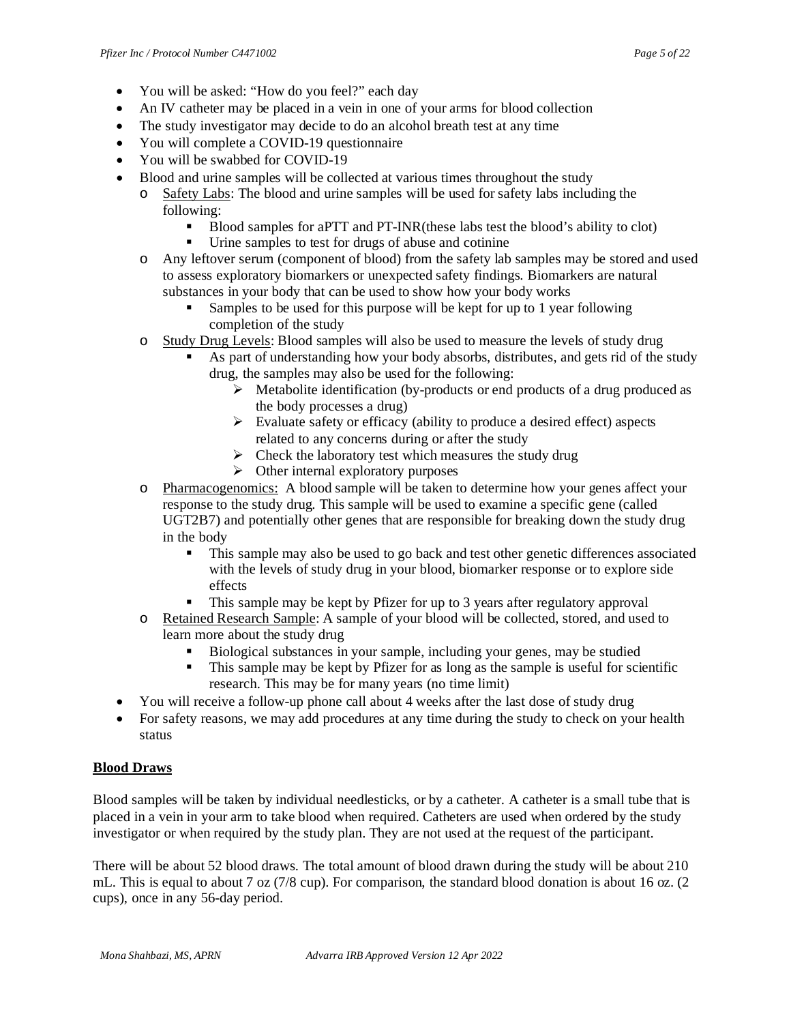- You will be asked: "How do you feel?" each day
- An IV catheter may be placed in a vein in one of your arms for blood collection
- The study investigator may decide to do an alcohol breath test at any time
- You will complete a COVID-19 questionnaire
- You will be swabbed for COVID-19
- Blood and urine samples will be collected at various times throughout the study
	- o Safety Labs: The blood and urine samples will be used for safety labs including the following:
		- Blood samples for aPTT and PT-INR(these labs test the blood's ability to clot)
		- Urine samples to test for drugs of abuse and cotinine
	- o Any leftover serum (component of blood) from the safety lab samples may be stored and used to assess exploratory biomarkers or unexpected safety findings. Biomarkers are natural substances in your body that can be used to show how your body works
		- Samples to be used for this purpose will be kept for up to 1 year following completion of the study
	- o Study Drug Levels: Blood samples will also be used to measure the levels of study drug
		- As part of understanding how your body absorbs, distributes, and gets rid of the study drug, the samples may also be used for the following:
			- $\triangleright$  Metabolite identification (by-products or end products of a drug produced as the body processes a drug)
			- $\triangleright$  Evaluate safety or efficacy (ability to produce a desired effect) aspects related to any concerns during or after the study
			- $\triangleright$  Check the laboratory test which measures the study drug
			- $\triangleright$  Other internal exploratory purposes
	- o Pharmacogenomics: A blood sample will be taken to determine how your genes affect your response to the study drug. This sample will be used to examine a specific gene (called UGT2B7) and potentially other genes that are responsible for breaking down the study drug in the body
		- This sample may also be used to go back and test other genetic differences associated with the levels of study drug in your blood, biomarker response or to explore side effects
		- This sample may be kept by Pfizer for up to 3 years after regulatory approval
	- o Retained Research Sample: A sample of your blood will be collected, stored, and used to learn more about the study drug
		- Biological substances in your sample, including your genes, may be studied
		- This sample may be kept by Pfizer for as long as the sample is useful for scientific research. This may be for many years (no time limit)
- You will receive a follow-up phone call about 4 weeks after the last dose of study drug
- For safety reasons, we may add procedures at any time during the study to check on your health status

## **Blood Draws**

Blood samples will be taken by individual needlesticks, or by a catheter. A catheter is a small tube that is placed in a vein in your arm to take blood when required. Catheters are used when ordered by the study investigator or when required by the study plan. They are not used at the request of the participant.

There will be about 52 blood draws. The total amount of blood drawn during the study will be about 210 mL. This is equal to about 7 oz (7/8 cup). For comparison, the standard blood donation is about 16 oz. (2 cups), once in any 56-day period.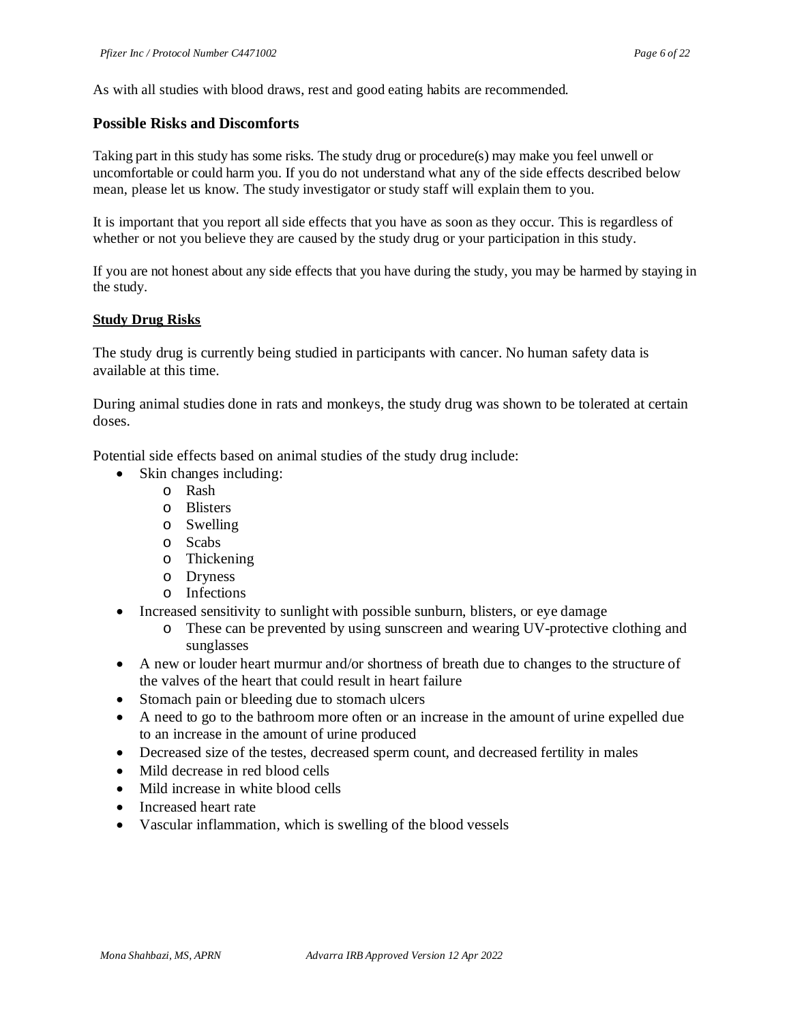As with all studies with blood draws, rest and good eating habits are recommended.

### **Possible Risks and Discomforts**

Taking part in this study has some risks. The study drug or procedure(s) may make you feel unwell or uncomfortable or could harm you. If you do not understand what any of the side effects described below mean, please let us know. The study investigator or study staff will explain them to you.

It is important that you report all side effects that you have as soon as they occur. This is regardless of whether or not you believe they are caused by the study drug or your participation in this study.

If you are not honest about any side effects that you have during the study, you may be harmed by staying in the study.

#### **Study Drug Risks**

The study drug is currently being studied in participants with cancer. No human safety data is available at this time.

During animal studies done in rats and monkeys, the study drug was shown to be tolerated at certain doses.

Potential side effects based on animal studies of the study drug include:

- Skin changes including:
	- o Rash
	- o Blisters
	- o Swelling
	- o Scabs
	- o Thickening
	- o Dryness
	- o Infections
- Increased sensitivity to sunlight with possible sunburn, blisters, or eye damage
	- o These can be prevented by using sunscreen and wearing UV-protective clothing and sunglasses
- A new or louder heart murmur and/or shortness of breath due to changes to the structure of the valves of the heart that could result in heart failure
- Stomach pain or bleeding due to stomach ulcers
- A need to go to the bathroom more often or an increase in the amount of urine expelled due to an increase in the amount of urine produced
- Decreased size of the testes, decreased sperm count, and decreased fertility in males
- Mild decrease in red blood cells
- Mild increase in white blood cells
- Increased heart rate
- Vascular inflammation, which is swelling of the blood vessels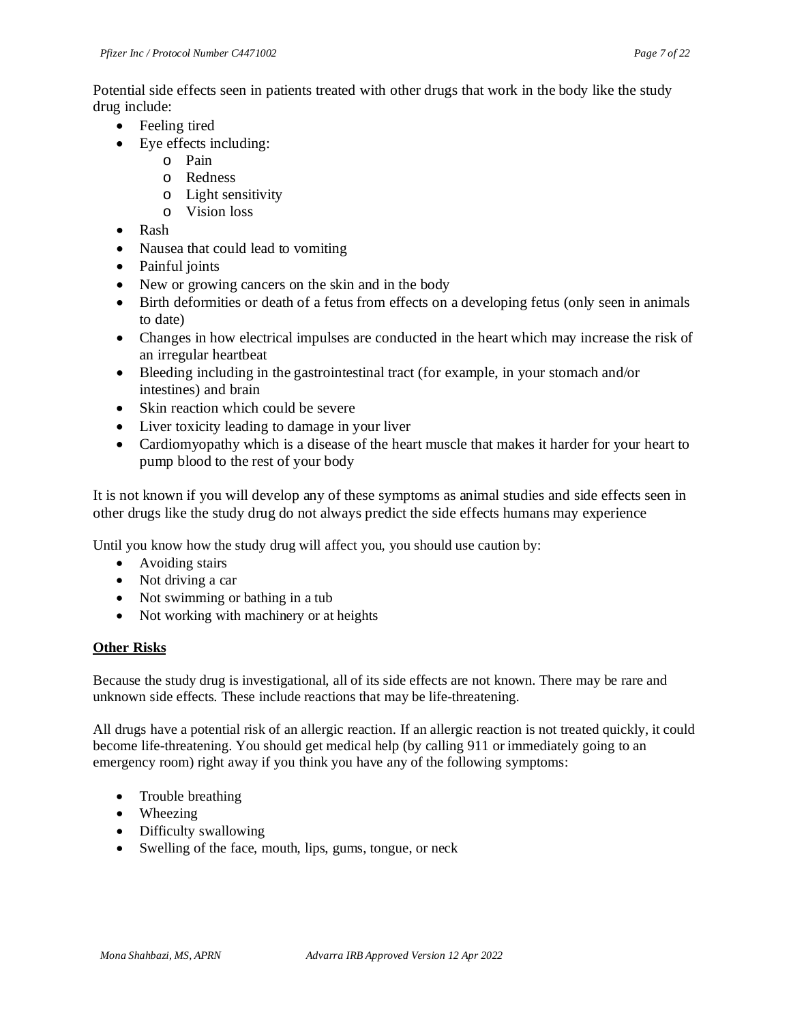Potential side effects seen in patients treated with other drugs that work in the body like the study drug include:

- Feeling tired
- Eye effects including:
	- o Pain
	- o Redness
	- o Light sensitivity
	- o Vision loss
- Rash
- Nausea that could lead to vomiting
- Painful joints
- New or growing cancers on the skin and in the body
- Birth deformities or death of a fetus from effects on a developing fetus (only seen in animals to date)
- Changes in how electrical impulses are conducted in the heart which may increase the risk of an irregular heartbeat
- Bleeding including in the gastrointestinal tract (for example, in your stomach and/or intestines) and brain
- Skin reaction which could be severe
- Liver toxicity leading to damage in your liver
- Cardiomyopathy which is a disease of the heart muscle that makes it harder for your heart to pump blood to the rest of your body

It is not known if you will develop any of these symptoms as animal studies and side effects seen in other drugs like the study drug do not always predict the side effects humans may experience

Until you know how the study drug will affect you*,* you should use caution by:

- Avoiding stairs
- Not driving a car
- Not swimming or bathing in a tub
- Not working with machinery or at heights

#### **Other Risks**

Because the study drug is investigational, all of its side effects are not known. There may be rare and unknown side effects. These include reactions that may be life-threatening.

All drugs have a potential risk of an allergic reaction. If an allergic reaction is not treated quickly, it could become life-threatening. You should get medical help (by calling 911 or immediately going to an emergency room) right away if you think you have any of the following symptoms:

- Trouble breathing
- Wheezing
- Difficulty swallowing
- Swelling of the face, mouth, lips, gums, tongue, or neck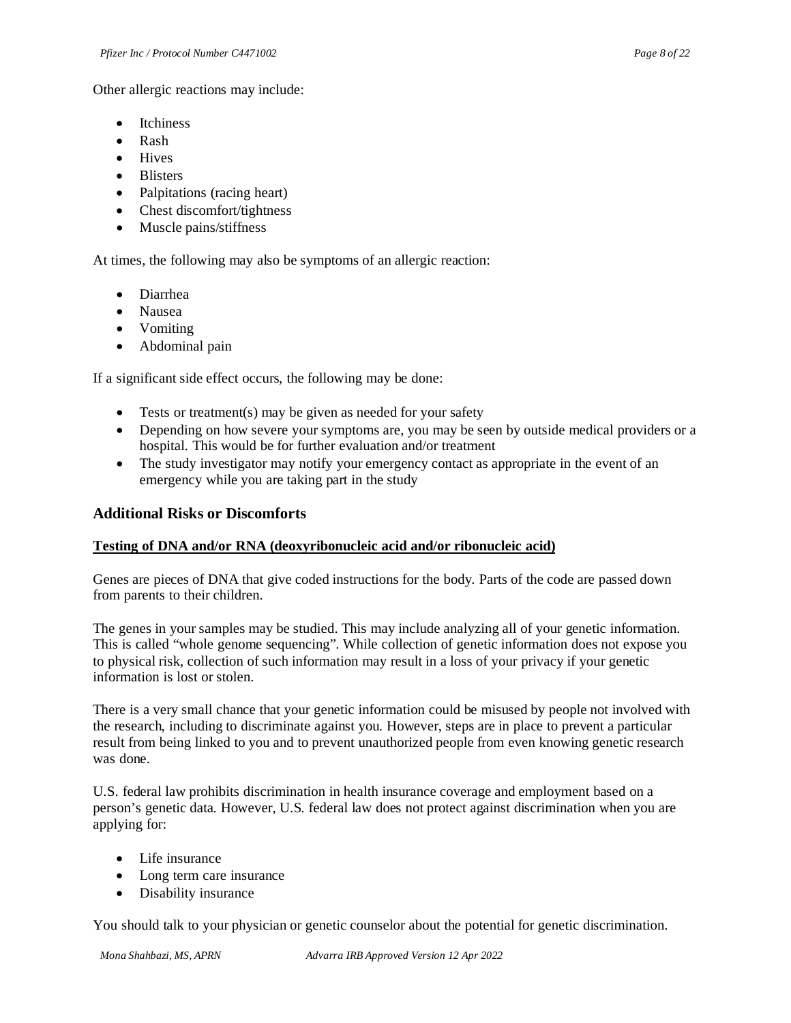Other allergic reactions may include:

- **Itchiness**
- Rash
- Hives
- Blisters
- Palpitations (racing heart)
- Chest discomfort/tightness
- Muscle pains/stiffness

At times, the following may also be symptoms of an allergic reaction:

- Diarrhea
- Nausea
- Vomiting
- Abdominal pain

If a significant side effect occurs, the following may be done:

- Tests or treatment(s) may be given as needed for your safety
- Depending on how severe your symptoms are, you may be seen by outside medical providers or a hospital. This would be for further evaluation and/or treatment
- The study investigator may notify your emergency contact as appropriate in the event of an emergency while you are taking part in the study

### **Additional Risks or Discomforts**

#### **Testing of DNA and/or RNA (deoxyribonucleic acid and/or ribonucleic acid)**

Genes are pieces of DNA that give coded instructions for the body. Parts of the code are passed down from parents to their children.

The genes in your samples may be studied. This may include analyzing all of your genetic information. This is called "whole genome sequencing". While collection of genetic information does not expose you to physical risk, collection of such information may result in a loss of your privacy if your genetic information is lost or stolen.

There is a very small chance that your genetic information could be misused by people not involved with the research, including to discriminate against you. However, steps are in place to prevent a particular result from being linked to you and to prevent unauthorized people from even knowing genetic research was done.

U.S. federal law prohibits discrimination in health insurance coverage and employment based on a person's genetic data. However, U.S. federal law does not protect against discrimination when you are applying for:

- Life insurance
- Long term care insurance
- Disability insurance

You should talk to your physician or genetic counselor about the potential for genetic discrimination.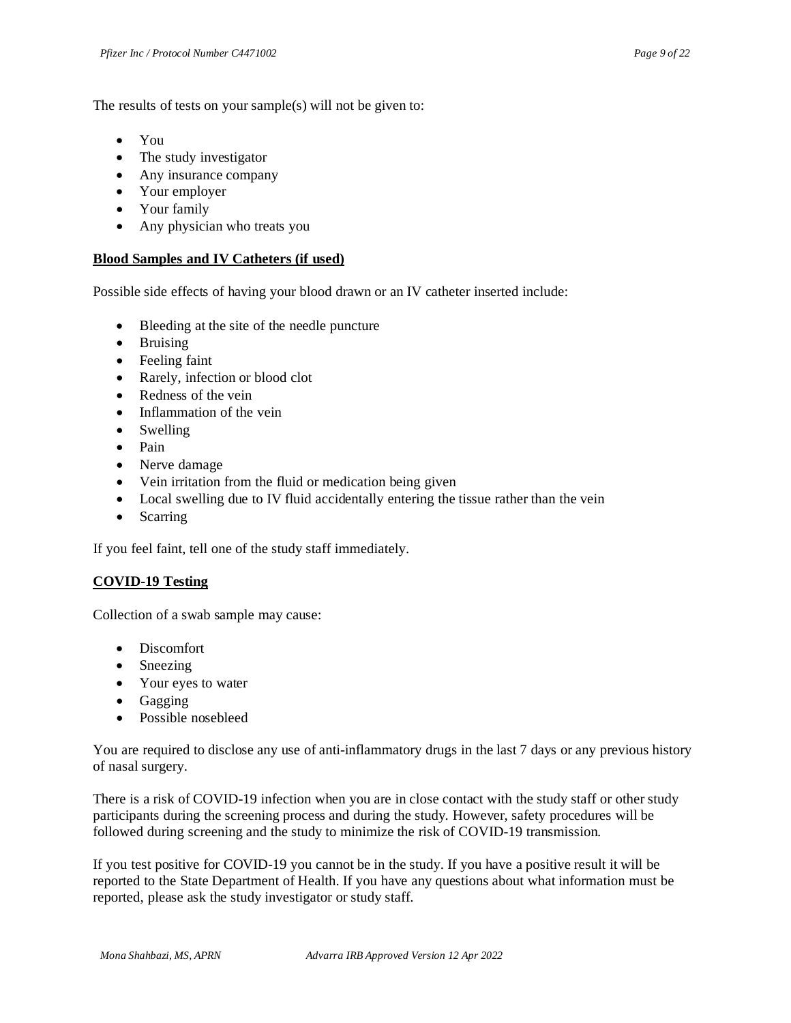The results of tests on your sample(s) will not be given to:

- You
- The study investigator
- Any insurance company
- Your employer
- Your family
- Any physician who treats you

#### **Blood Samples and IV Catheters (if used)**

Possible side effects of having your blood drawn or an IV catheter inserted include:

- Bleeding at the site of the needle puncture
- Bruising
- Feeling faint
- Rarely, infection or blood clot
- Redness of the vein
- Inflammation of the vein
- Swelling
- Pain
- Nerve damage
- Vein irritation from the fluid or medication being given
- Local swelling due to IV fluid accidentally entering the tissue rather than the vein
- Scarring

If you feel faint, tell one of the study staff immediately.

#### **COVID-19 Testing**

Collection of a swab sample may cause:

- Discomfort
- Sneezing
- Your eyes to water
- Gagging
- Possible nosebleed

You are required to disclose any use of anti-inflammatory drugs in the last 7 days or any previous history of nasal surgery.

There is a risk of COVID-19 infection when you are in close contact with the study staff or other study participants during the screening process and during the study. However, safety procedures will be followed during screening and the study to minimize the risk of COVID-19 transmission.

If you test positive for COVID-19 you cannot be in the study. If you have a positive result it will be reported to the State Department of Health. If you have any questions about what information must be reported, please ask the study investigator or study staff.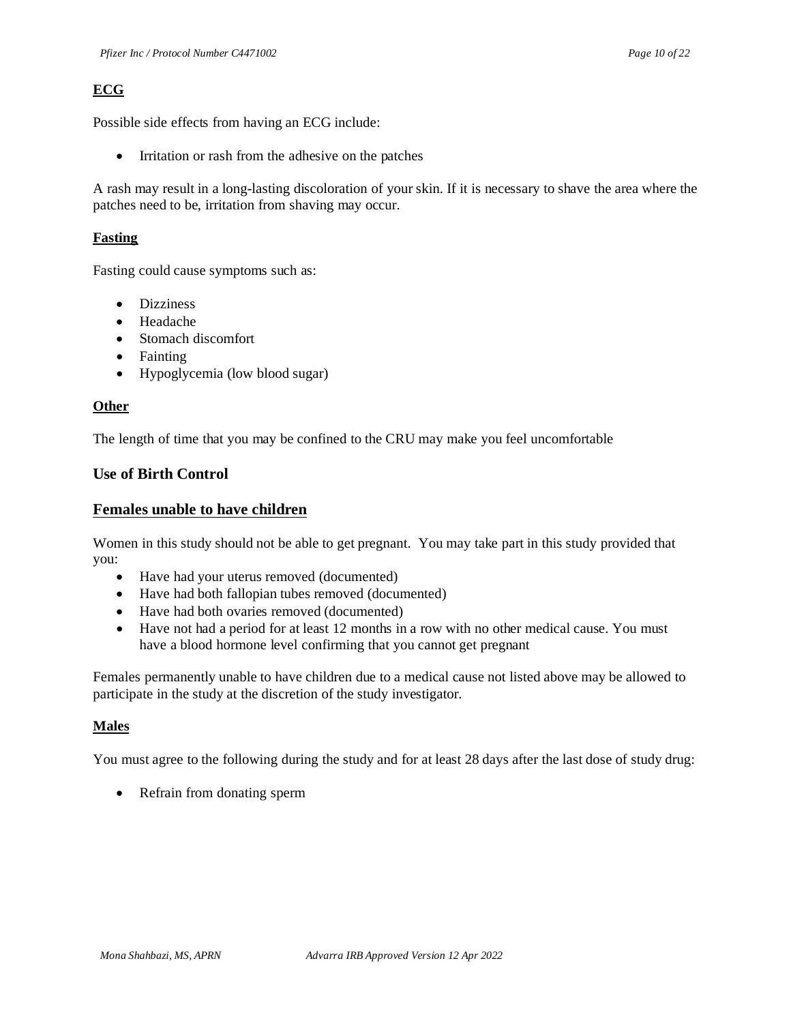# **ECG**

Possible side effects from having an ECG include:

• Irritation or rash from the adhesive on the patches

A rash may result in a long-lasting discoloration of your skin. If it is necessary to shave the area where the patches need to be, irritation from shaving may occur.

## **Fasting**

Fasting could cause symptoms such as:

- Dizziness
- Headache
- Stomach discomfort
- Fainting
- Hypoglycemia (low blood sugar)

### **Other**

The length of time that you may be confined to the CRU may make you feel uncomfortable

## **Use of Birth Control**

## **Females unable to have children**

Women in this study should not be able to get pregnant. You may take part in this study provided that you:

- Have had your uterus removed (documented)
- Have had both fallopian tubes removed (documented)
- Have had both ovaries removed (documented)
- Have not had a period for at least 12 months in a row with no other medical cause. You must have a blood hormone level confirming that you cannot get pregnant

Females permanently unable to have children due to a medical cause not listed above may be allowed to participate in the study at the discretion of the study investigator.

## **Males**

You must agree to the following during the study and for at least 28 days after the last dose of study drug:

• Refrain from donating sperm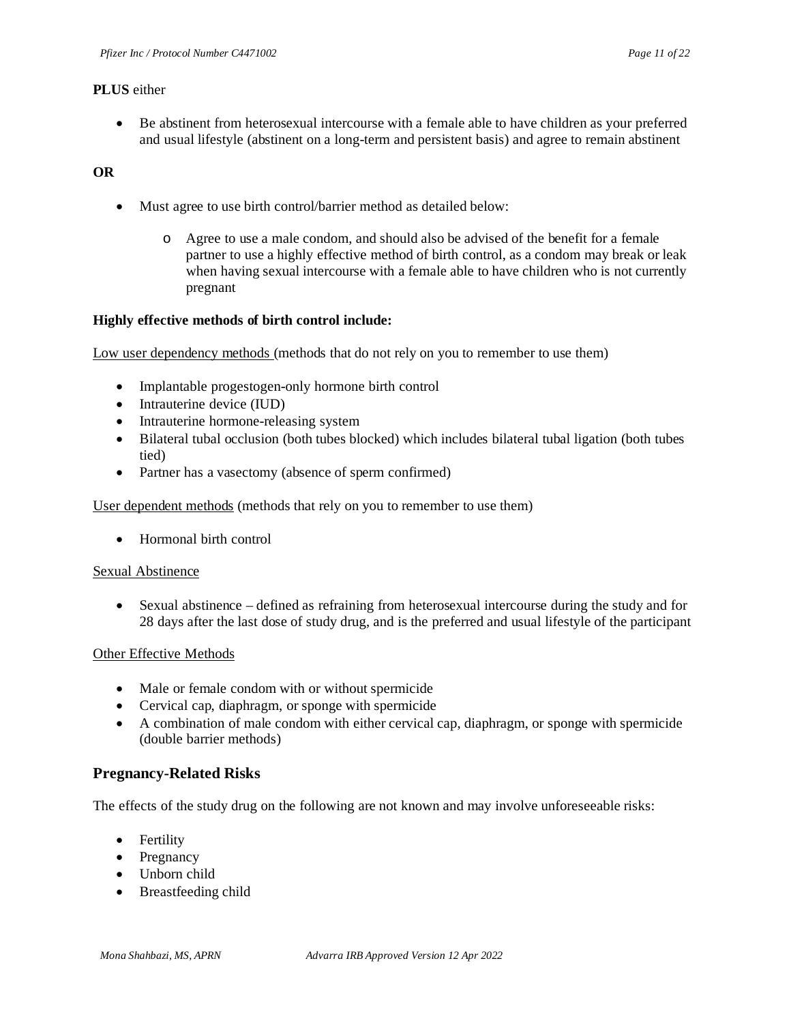#### **PLUS** either

• Be abstinent from heterosexual intercourse with a female able to have children as your preferred and usual lifestyle (abstinent on a long-term and persistent basis) and agree to remain abstinent

### **OR**

- Must agree to use birth control/barrier method as detailed below:
	- o Agree to use a male condom, and should also be advised of the benefit for a female partner to use a highly effective method of birth control, as a condom may break or leak when having sexual intercourse with a female able to have children who is not currently pregnant

#### **Highly effective methods of birth control include:**

Low user dependency methods (methods that do not rely on you to remember to use them)

- Implantable progestogen-only hormone birth control
- Intrauterine device (IUD)
- Intrauterine hormone-releasing system
- Bilateral tubal occlusion (both tubes blocked) which includes bilateral tubal ligation (both tubes tied)
- Partner has a vasectomy (absence of sperm confirmed)

User dependent methods (methods that rely on you to remember to use them)

• Hormonal birth control

#### Sexual Abstinence

• Sexual abstinence – defined as refraining from heterosexual intercourse during the study and for 28 days after the last dose of study drug, and is the preferred and usual lifestyle of the participant

#### Other Effective Methods

- Male or female condom with or without spermicide
- Cervical cap, diaphragm, or sponge with spermicide
- A combination of male condom with either cervical cap, diaphragm, or sponge with spermicide (double barrier methods)

#### **Pregnancy-Related Risks**

The effects of the study drug on the following are not known and may involve unforeseeable risks:

- Fertility
- Pregnancy
- Unborn child
- Breastfeeding child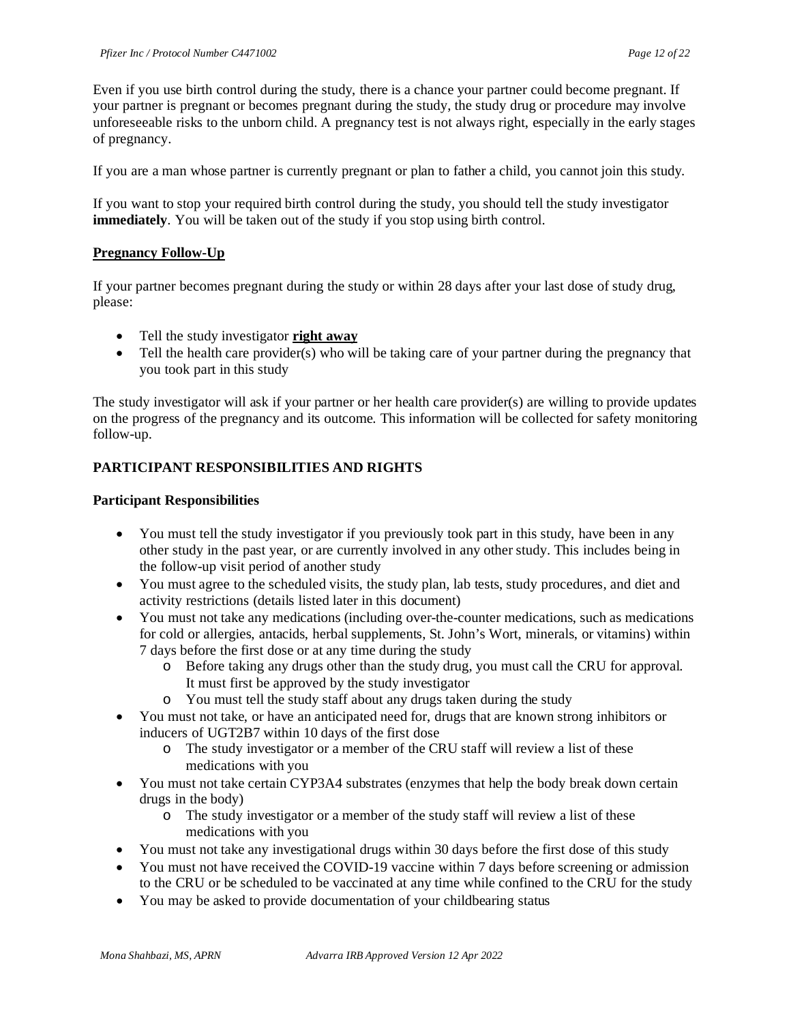Even if you use birth control during the study, there is a chance your partner could become pregnant. If your partner is pregnant or becomes pregnant during the study, the study drug or procedure may involve unforeseeable risks to the unborn child. A pregnancy test is not always right, especially in the early stages of pregnancy.

If you are a man whose partner is currently pregnant or plan to father a child, you cannot join this study.

If you want to stop your required birth control during the study, you should tell the study investigator **immediately**. You will be taken out of the study if you stop using birth control.

#### **Pregnancy Follow-Up**

If your partner becomes pregnant during the study or within 28 days after your last dose of study drug, please:

- Tell the study investigator **right away**
- Tell the health care provider(s) who will be taking care of your partner during the pregnancy that you took part in this study

The study investigator will ask if your partner or her health care provider(s) are willing to provide updates on the progress of the pregnancy and its outcome. This information will be collected for safety monitoring follow-up.

### **PARTICIPANT RESPONSIBILITIES AND RIGHTS**

#### **Participant Responsibilities**

- You must tell the study investigator if you previously took part in this study, have been in any other study in the past year, or are currently involved in any other study. This includes being in the follow-up visit period of another study
- You must agree to the scheduled visits, the study plan, lab tests, study procedures, and diet and activity restrictions (details listed later in this document)
- You must not take any medications (including over-the-counter medications, such as medications for cold or allergies, antacids, herbal supplements, St. John's Wort, minerals, or vitamins) within 7 days before the first dose or at any time during the study
	- o Before taking any drugs other than the study drug, you must call the CRU for approval. It must first be approved by the study investigator
	- o You must tell the study staff about any drugs taken during the study
- You must not take, or have an anticipated need for, drugs that are known strong inhibitors or inducers of UGT2B7 within 10 days of the first dose
	- o The study investigator or a member of the CRU staff will review a list of these medications with you
- You must not take certain CYP3A4 substrates (enzymes that help the body break down certain drugs in the body)
	- o The study investigator or a member of the study staff will review a list of these medications with you
- You must not take any investigational drugs within 30 days before the first dose of this study
- You must not have received the COVID-19 vaccine within 7 days before screening or admission to the CRU or be scheduled to be vaccinated at any time while confined to the CRU for the study
- You may be asked to provide documentation of your childbearing status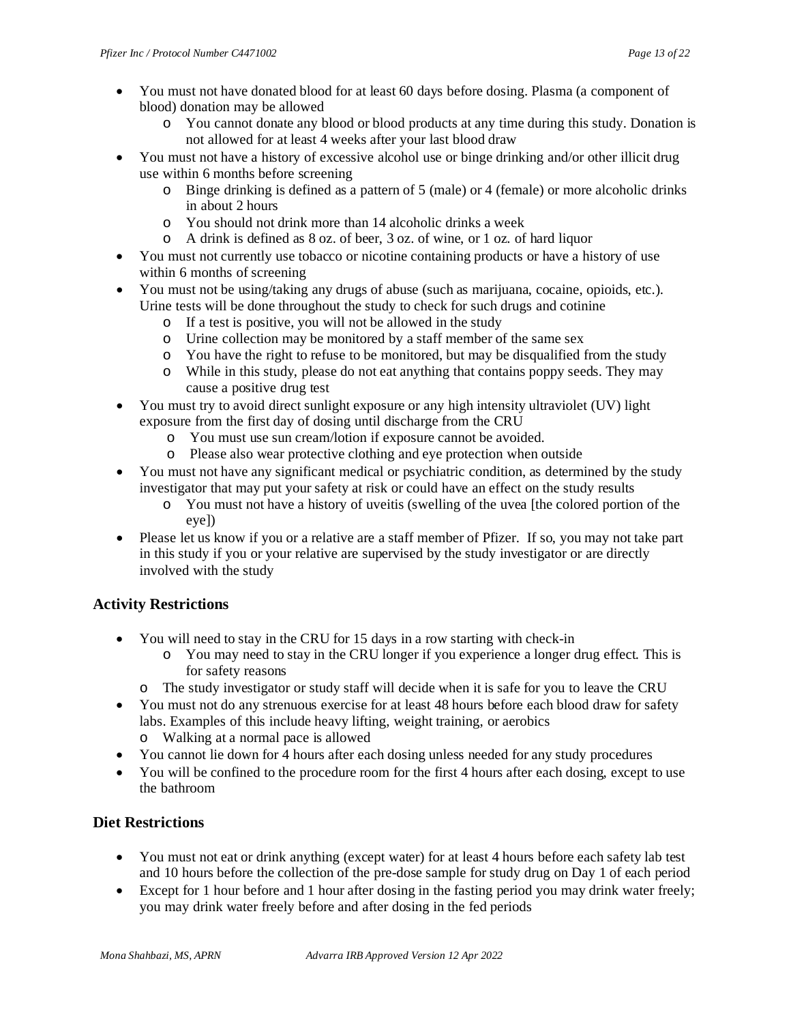- You must not have donated blood for at least 60 days before dosing. Plasma (a component of blood) donation may be allowed
	- o You cannot donate any blood or blood products at any time during this study. Donation is not allowed for at least 4 weeks after your last blood draw
- You must not have a history of excessive alcohol use or binge drinking and/or other illicit drug use within 6 months before screening
	- $\circ$  Binge drinking is defined as a pattern of 5 (male) or 4 (female) or more alcoholic drinks in about 2 hours
	- o You should not drink more than 14 alcoholic drinks a week
	- o A drink is defined as 8 oz. of beer, 3 oz. of wine, or 1 oz. of hard liquor
- You must not currently use tobacco or nicotine containing products or have a history of use within 6 months of screening
- You must not be using/taking any drugs of abuse (such as marijuana, cocaine, opioids, etc.). Urine tests will be done throughout the study to check for such drugs and cotinine
	- o If a test is positive, you will not be allowed in the study
	- o Urine collection may be monitored by a staff member of the same sex
	- o You have the right to refuse to be monitored, but may be disqualified from the study
	- o While in this study, please do not eat anything that contains poppy seeds. They may cause a positive drug test
- You must try to avoid direct sunlight exposure or any high intensity ultraviolet (UV) light exposure from the first day of dosing until discharge from the CRU
	- o You must use sun cream/lotion if exposure cannot be avoided.
	- o Please also wear protective clothing and eye protection when outside
- You must not have any significant medical or psychiatric condition, as determined by the study investigator that may put your safety at risk or could have an effect on the study results
	- o You must not have a history of uveitis (swelling of the uvea [the colored portion of the eye])
- Please let us know if you or a relative are a staff member of Pfizer. If so, you may not take part in this study if you or your relative are supervised by the study investigator or are directly involved with the study

## **Activity Restrictions**

- You will need to stay in the CRU for 15 days in a row starting with check-in
	- o You may need to stay in the CRU longer if you experience a longer drug effect. This is for safety reasons
	- o The study investigator or study staff will decide when it is safe for you to leave the CRU
- You must not do any strenuous exercise for at least 48 hours before each blood draw for safety labs. Examples of this include heavy lifting, weight training, or aerobics
	- o Walking at a normal pace is allowed
- You cannot lie down for 4 hours after each dosing unless needed for any study procedures
- You will be confined to the procedure room for the first 4 hours after each dosing, except to use the bathroom

## **Diet Restrictions**

- You must not eat or drink anything (except water) for at least 4 hours before each safety lab test and 10 hours before the collection of the pre-dose sample for study drug on Day 1 of each period
- Except for 1 hour before and 1 hour after dosing in the fasting period you may drink water freely; you may drink water freely before and after dosing in the fed periods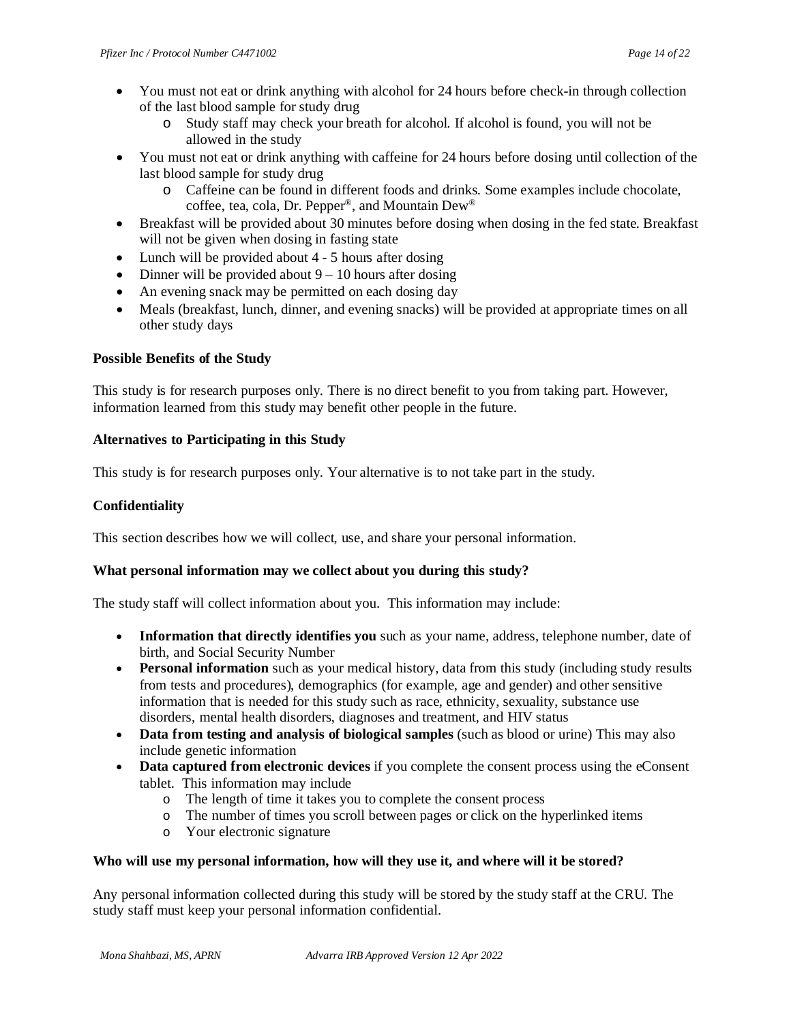- You must not eat or drink anything with alcohol for 24 hours before check-in through collection of the last blood sample for study drug
	- o Study staff may check your breath for alcohol. If alcohol is found, you will not be allowed in the study
- You must not eat or drink anything with caffeine for 24 hours before dosing until collection of the last blood sample for study drug
	- o Caffeine can be found in different foods and drinks. Some examples include chocolate, coffee, tea, cola, Dr. Pepper®, and Mountain Dew®
- Breakfast will be provided about 30 minutes before dosing when dosing in the fed state. Breakfast will not be given when dosing in fasting state
- Lunch will be provided about 4 5 hours after dosing
- Dinner will be provided about  $9 10$  hours after dosing
- An evening snack may be permitted on each dosing day
- Meals (breakfast, lunch, dinner, and evening snacks) will be provided at appropriate times on all other study days

## **Possible Benefits of the Study**

This study is for research purposes only. There is no direct benefit to you from taking part. However, information learned from this study may benefit other people in the future.

## **Alternatives to Participating in this Study**

This study is for research purposes only. Your alternative is to not take part in the study.

### **Confidentiality**

This section describes how we will collect, use, and share your personal information.

## **What personal information may we collect about you during this study?**

The study staff will collect information about you. This information may include:

- **Information that directly identifies you** such as your name, address, telephone number, date of birth, and Social Security Number
- **Personal information** such as your medical history, data from this study (including study results from tests and procedures), demographics (for example, age and gender) and other sensitive information that is needed for this study such as race, ethnicity, sexuality, substance use disorders, mental health disorders, diagnoses and treatment, and HIV status
- **Data from testing and analysis of biological samples** (such as blood or urine) This may also include genetic information
- **Data captured from electronic devices** if you complete the consent process using the eConsent tablet. This information may include
	- o The length of time it takes you to complete the consent process
	- o The number of times you scroll between pages or click on the hyperlinked items
	- o Your electronic signature

#### **Who will use my personal information, how will they use it, and where will it be stored?**

Any personal information collected during this study will be stored by the study staff at the CRU. The study staff must keep your personal information confidential.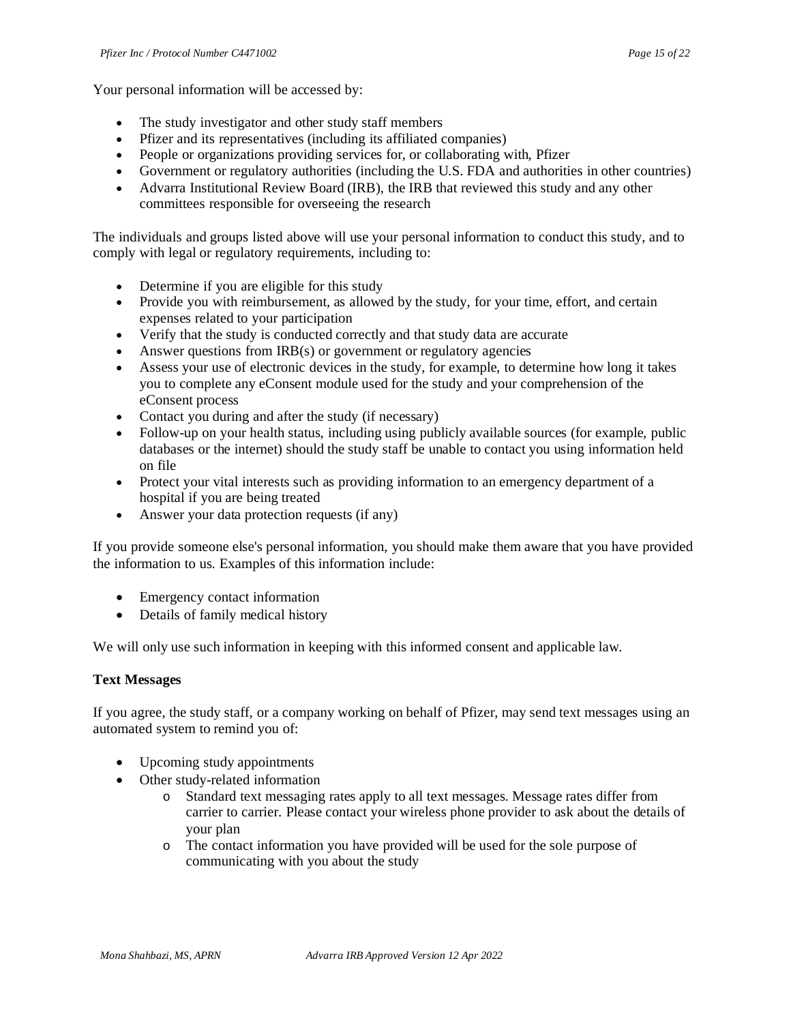Your personal information will be accessed by:

- The study investigator and other study staff members
- Pfizer and its representatives (including its affiliated companies)
- People or organizations providing services for, or collaborating with, Pfizer
- Government or regulatory authorities (including the U.S. FDA and authorities in other countries)
- Advarra Institutional Review Board (IRB), the IRB that reviewed this study and any other committees responsible for overseeing the research

The individuals and groups listed above will use your personal information to conduct this study, and to comply with legal or regulatory requirements, including to:

- Determine if you are eligible for this study
- Provide you with reimbursement, as allowed by the study, for your time, effort, and certain expenses related to your participation
- Verify that the study is conducted correctly and that study data are accurate
- Answer questions from IRB(s) or government or regulatory agencies
- Assess your use of electronic devices in the study, for example, to determine how long it takes you to complete any eConsent module used for the study and your comprehension of the eConsent process
- Contact you during and after the study (if necessary)
- Follow-up on your health status, including using publicly available sources (for example, public databases or the internet) should the study staff be unable to contact you using information held on file
- Protect your vital interests such as providing information to an emergency department of a hospital if you are being treated
- Answer your data protection requests (if any)

If you provide someone else's personal information, you should make them aware that you have provided the information to us. Examples of this information include:

- Emergency contact information
- Details of family medical history

We will only use such information in keeping with this informed consent and applicable law.

#### **Text Messages**

If you agree, the study staff, or a company working on behalf of Pfizer, may send text messages using an automated system to remind you of:

- Upcoming study appointments
- Other study-related information
	- o Standard text messaging rates apply to all text messages. Message rates differ from carrier to carrier. Please contact your wireless phone provider to ask about the details of your plan
	- o The contact information you have provided will be used for the sole purpose of communicating with you about the study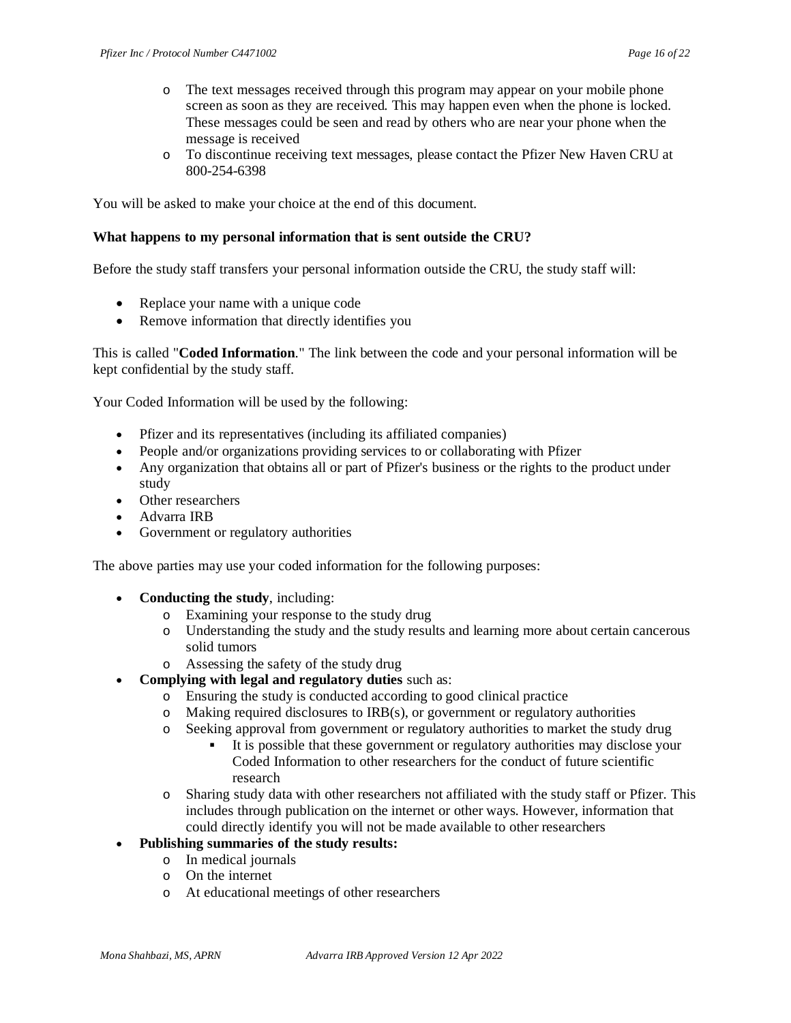- o The text messages received through this program may appear on your mobile phone screen as soon as they are received. This may happen even when the phone is locked. These messages could be seen and read by others who are near your phone when the message is received
- o To discontinue receiving text messages, please contact the Pfizer New Haven CRU at 800-254-6398

You will be asked to make your choice at the end of this document.

#### **What happens to my personal information that is sent outside the CRU?**

Before the study staff transfers your personal information outside the CRU, the study staff will:

- Replace your name with a unique code
- Remove information that directly identifies you

This is called "**Coded Information**." The link between the code and your personal information will be kept confidential by the study staff.

Your Coded Information will be used by the following:

- Pfizer and its representatives (including its affiliated companies)
- People and/or organizations providing services to or collaborating with Pfizer
- Any organization that obtains all or part of Pfizer's business or the rights to the product under study
- Other researchers
- Advarra IRB
- Government or regulatory authorities

The above parties may use your coded information for the following purposes:

- **Conducting the study**, including:
	- o Examining your response to the study drug
	- o Understanding the study and the study results and learning more about certain cancerous solid tumors
	- o Assessing the safety of the study drug
- **Complying with legal and regulatory duties** such as:
	- o Ensuring the study is conducted according to good clinical practice
	- o Making required disclosures to IRB(s), or government or regulatory authorities
	- o Seeking approval from government or regulatory authorities to market the study drug
		- It is possible that these government or regulatory authorities may disclose your Coded Information to other researchers for the conduct of future scientific research
	- o Sharing study data with other researchers not affiliated with the study staff or Pfizer. This includes through publication on the internet or other ways. However, information that could directly identify you will not be made available to other researchers
- **Publishing summaries of the study results:**
	- o In medical journals
	- o On the internet
	- o At educational meetings of other researchers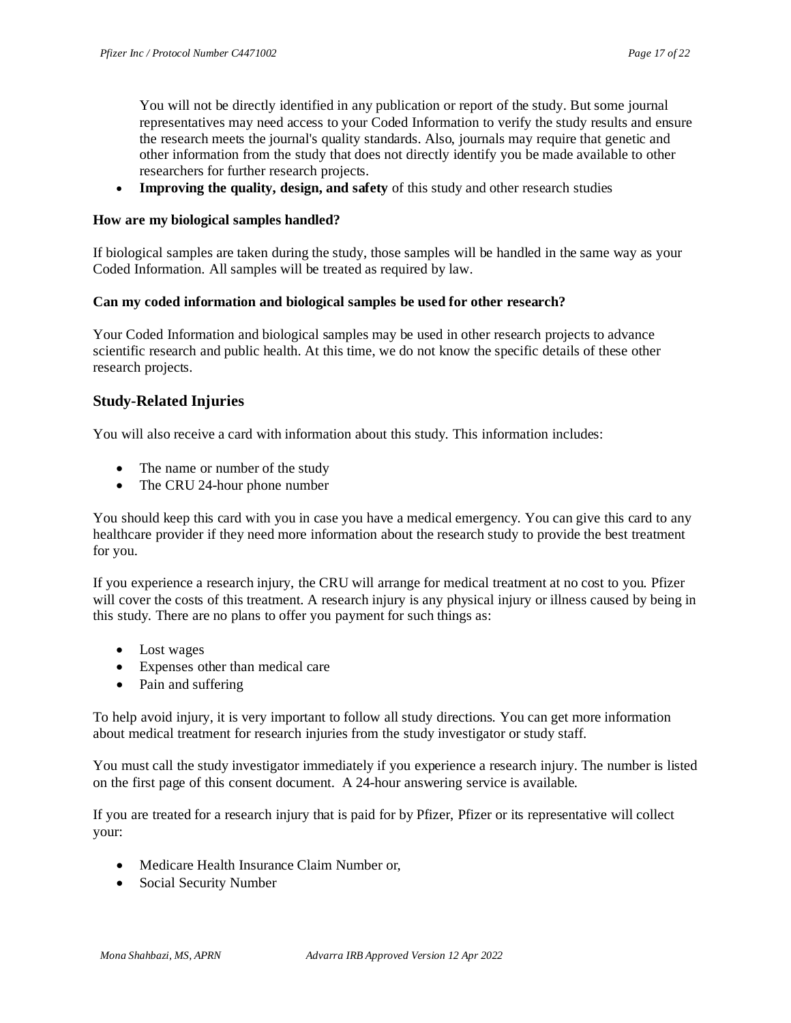You will not be directly identified in any publication or report of the study. But some journal representatives may need access to your Coded Information to verify the study results and ensure the research meets the journal's quality standards. Also, journals may require that genetic and other information from the study that does not directly identify you be made available to other researchers for further research projects.

• **Improving the quality, design, and safety** of this study and other research studies

#### **How are my biological samples handled?**

If biological samples are taken during the study, those samples will be handled in the same way as your Coded Information. All samples will be treated as required by law.

#### **Can my coded information and biological samples be used for other research?**

Your Coded Information and biological samples may be used in other research projects to advance scientific research and public health. At this time, we do not know the specific details of these other research projects.

#### **Study-Related Injuries**

You will also receive a card with information about this study. This information includes:

- The name or number of the study
- The CRU 24-hour phone number

You should keep this card with you in case you have a medical emergency. You can give this card to any healthcare provider if they need more information about the research study to provide the best treatment for you.

If you experience a research injury, the CRU will arrange for medical treatment at no cost to you. Pfizer will cover the costs of this treatment. A research injury is any physical injury or illness caused by being in this study. There are no plans to offer you payment for such things as:

- Lost wages
- Expenses other than medical care
- Pain and suffering

To help avoid injury, it is very important to follow all study directions. You can get more information about medical treatment for research injuries from the study investigator or study staff.

You must call the study investigator immediately if you experience a research injury. The number is listed on the first page of this consent document. A 24-hour answering service is available.

If you are treated for a research injury that is paid for by Pfizer, Pfizer or its representative will collect your:

- Medicare Health Insurance Claim Number or,
- Social Security Number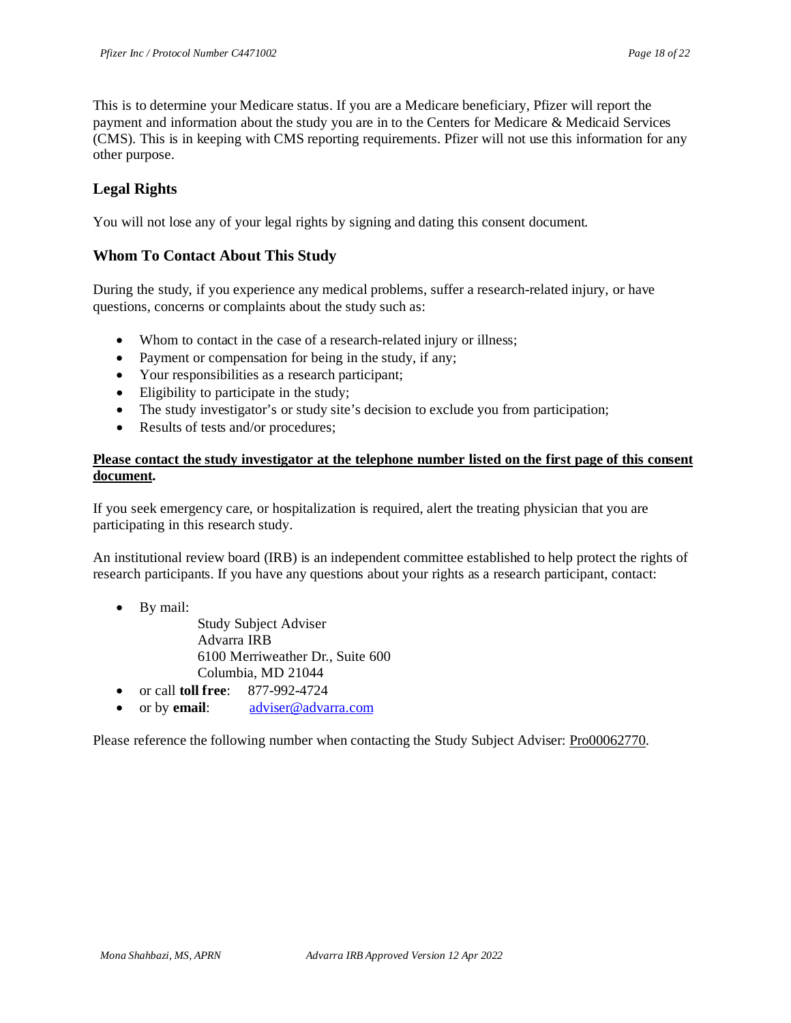This is to determine your Medicare status. If you are a Medicare beneficiary, Pfizer will report the payment and information about the study you are in to the Centers for Medicare & Medicaid Services (CMS). This is in keeping with CMS reporting requirements. Pfizer will not use this information for any other purpose.

## **Legal Rights**

You will not lose any of your legal rights by signing and dating this consent document.

### **Whom To Contact About This Study**

During the study, if you experience any medical problems, suffer a research-related injury, or have questions, concerns or complaints about the study such as:

- Whom to contact in the case of a research-related injury or illness;
- Payment or compensation for being in the study, if any;
- Your responsibilities as a research participant;
- Eligibility to participate in the study;
- The study investigator's or study site's decision to exclude you from participation;
- Results of tests and/or procedures;

#### **Please contact the study investigator at the telephone number listed on the first page of this consent document.**

If you seek emergency care, or hospitalization is required, alert the treating physician that you are participating in this research study.

An institutional review board (IRB) is an independent committee established to help protect the rights of research participants. If you have any questions about your rights as a research participant, contact:

- By mail:
	- Study Subject Adviser Advarra IRB 6100 Merriweather Dr., Suite 600 Columbia, MD 21044
- or call **toll free**: 877-992-4724
- or by **email**: [adviser@advarra.com](mailto:adviser@advarra.com)

Please reference the following number when contacting the Study Subject Adviser: Pro00062770.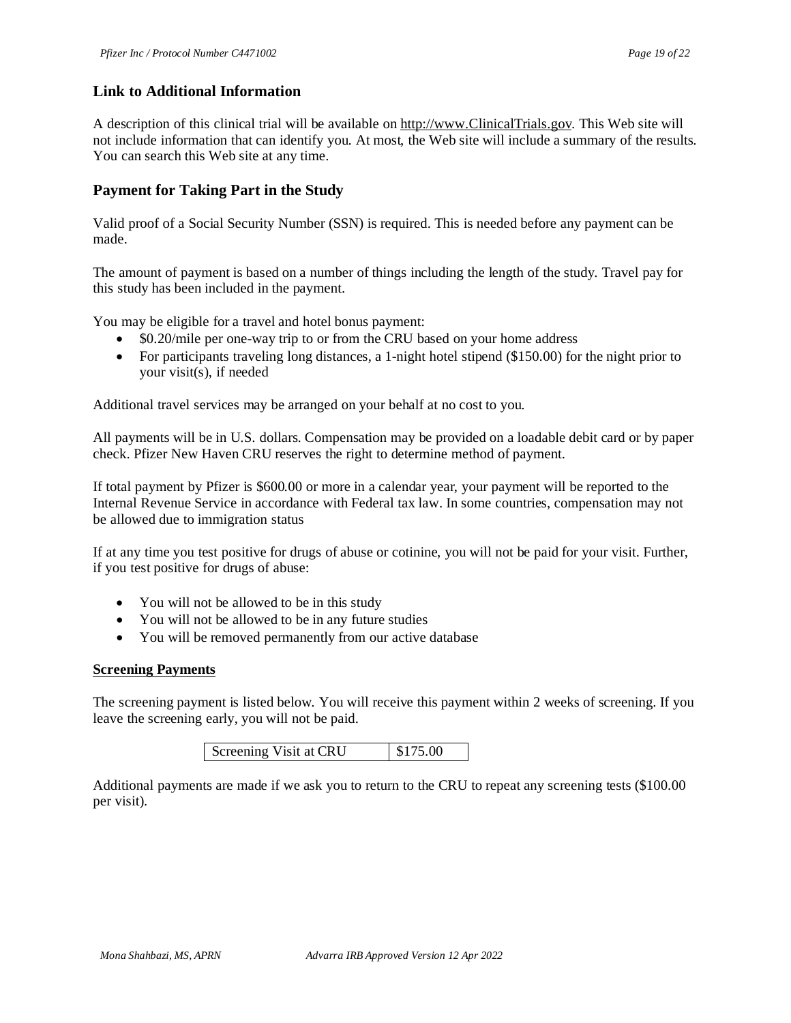### **Link to Additional Information**

A description of this clinical trial will be available o[n http://www.ClinicalTrials.gov.](http://www.clinicaltrials.gov/) This Web site will not include information that can identify you. At most, the Web site will include a summary of the results. You can search this Web site at any time.

### **Payment for Taking Part in the Study**

Valid proof of a Social Security Number (SSN) is required. This is needed before any payment can be made.

The amount of payment is based on a number of things including the length of the study. Travel pay for this study has been included in the payment.

You may be eligible for a travel and hotel bonus payment:

- \$0.20/mile per one-way trip to or from the CRU based on your home address
- For participants traveling long distances, a 1-night hotel stipend (\$150.00) for the night prior to your visit(s), if needed

Additional travel services may be arranged on your behalf at no cost to you.

All payments will be in U.S. dollars. Compensation may be provided on a loadable debit card or by paper check. Pfizer New Haven CRU reserves the right to determine method of payment.

If total payment by Pfizer is \$600.00 or more in a calendar year, your payment will be reported to the Internal Revenue Service in accordance with Federal tax law. In some countries, compensation may not be allowed due to immigration status

If at any time you test positive for drugs of abuse or cotinine, you will not be paid for your visit. Further, if you test positive for drugs of abuse:

- You will not be allowed to be in this study
- You will not be allowed to be in any future studies
- You will be removed permanently from our active database

#### **Screening Payments**

The screening payment is listed below. You will receive this payment within 2 weeks of screening. If you leave the screening early, you will not be paid.

| Screening Visit at CRU | \$175.00 |
|------------------------|----------|
|------------------------|----------|

Additional payments are made if we ask you to return to the CRU to repeat any screening tests (\$100.00 per visit).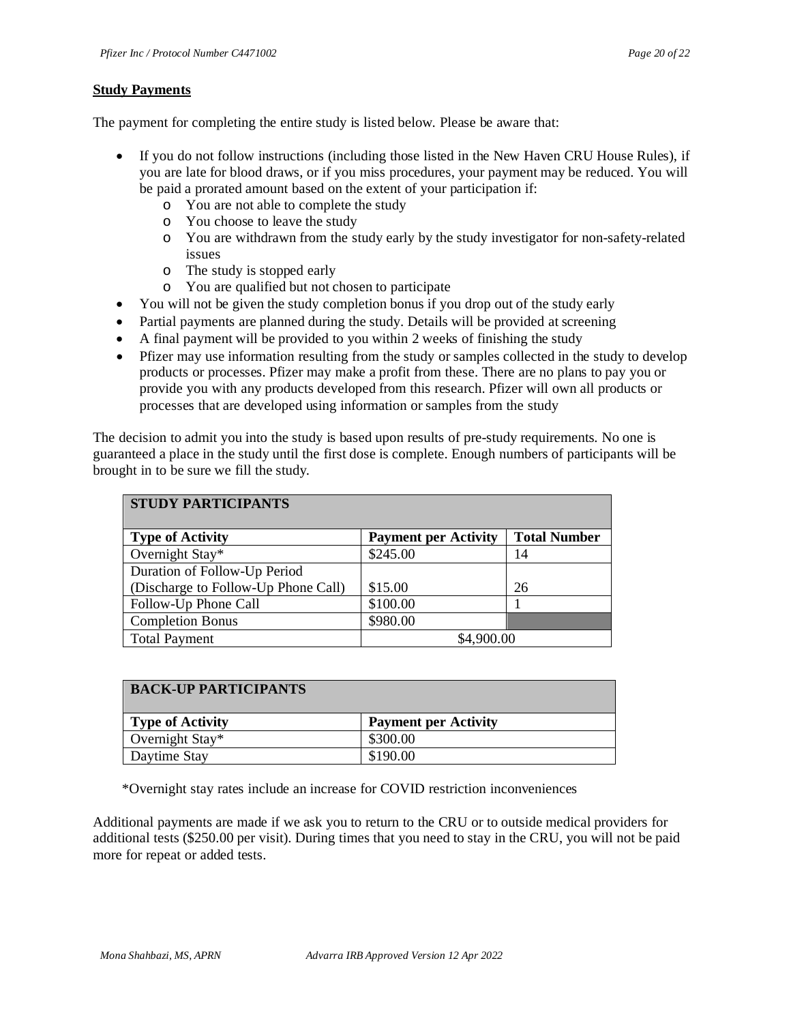#### **Study Payments**

The payment for completing the entire study is listed below. Please be aware that:

- If you do not follow instructions (including those listed in the New Haven CRU House Rules), if you are late for blood draws, or if you miss procedures, your payment may be reduced. You will be paid a prorated amount based on the extent of your participation if:
	- o You are not able to complete the study
	- o You choose to leave the study
	- o You are withdrawn from the study early by the study investigator for non-safety-related issues
	- o The study is stopped early
	- o You are qualified but not chosen to participate
- You will not be given the study completion bonus if you drop out of the study early
- Partial payments are planned during the study. Details will be provided at screening
- A final payment will be provided to you within 2 weeks of finishing the study
- Pfizer may use information resulting from the study or samples collected in the study to develop products or processes. Pfizer may make a profit from these. There are no plans to pay you or provide you with any products developed from this research. Pfizer will own all products or processes that are developed using information or samples from the study

The decision to admit you into the study is based upon results of pre-study requirements. No one is guaranteed a place in the study until the first dose is complete. Enough numbers of participants will be brought in to be sure we fill the study.

| <b>STUDY PARTICIPANTS</b>           |                             |                     |  |  |
|-------------------------------------|-----------------------------|---------------------|--|--|
| <b>Type of Activity</b>             | <b>Payment per Activity</b> | <b>Total Number</b> |  |  |
| Overnight Stay*                     | \$245.00                    | 14                  |  |  |
| Duration of Follow-Up Period        |                             |                     |  |  |
| (Discharge to Follow-Up Phone Call) | \$15.00                     | 26                  |  |  |
| Follow-Up Phone Call                | \$100.00                    |                     |  |  |
| <b>Completion Bonus</b>             | \$980.00                    |                     |  |  |
| <b>Total Payment</b>                | \$4,900.00                  |                     |  |  |

| <b>BACK-UP PARTICIPANTS</b> |                             |  |  |
|-----------------------------|-----------------------------|--|--|
| <b>Type of Activity</b>     | <b>Payment per Activity</b> |  |  |
| Overnight Stay*             | \$300.00                    |  |  |
| Daytime Stay                | \$190.00                    |  |  |

\*Overnight stay rates include an increase for COVID restriction inconveniences

Additional payments are made if we ask you to return to the CRU or to outside medical providers for additional tests (\$250.00 per visit). During times that you need to stay in the CRU, you will not be paid more for repeat or added tests.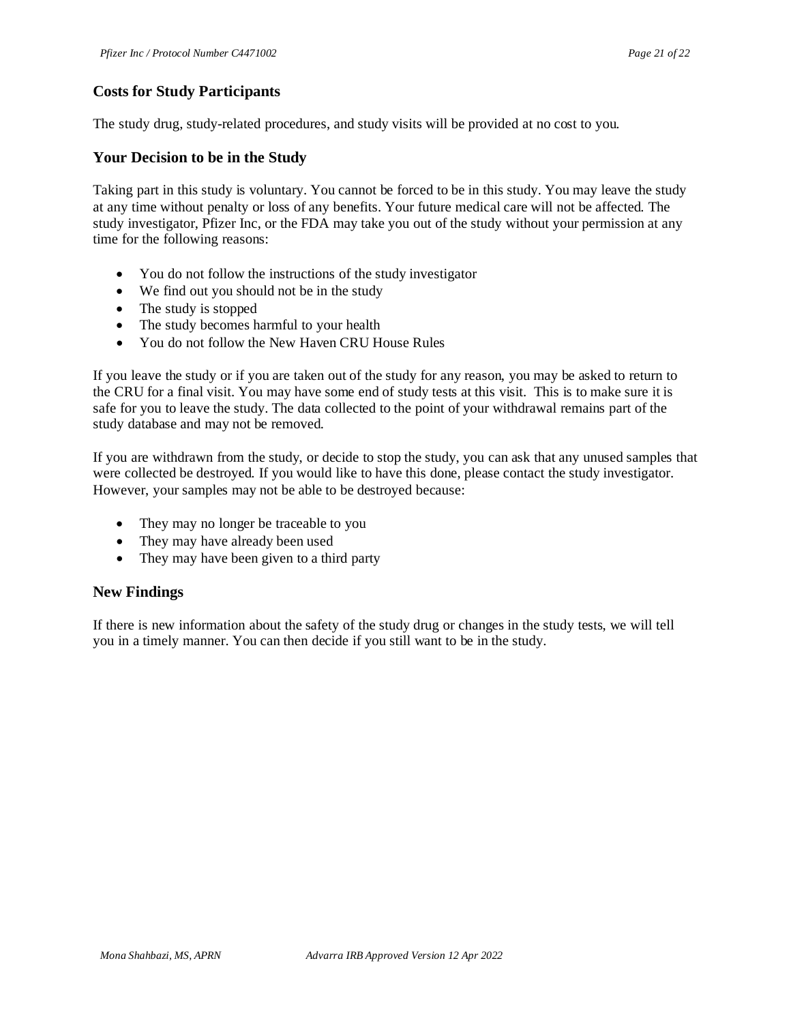# **Costs for Study Participants**

The study drug, study-related procedures, and study visits will be provided at no cost to you.

### **Your Decision to be in the Study**

Taking part in this study is voluntary. You cannot be forced to be in this study. You may leave the study at any time without penalty or loss of any benefits. Your future medical care will not be affected. The study investigator, Pfizer Inc, or the FDA may take you out of the study without your permission at any time for the following reasons:

- You do not follow the instructions of the study investigator
- We find out you should not be in the study
- The study is stopped
- The study becomes harmful to your health
- You do not follow the New Haven CRU House Rules

If you leave the study or if you are taken out of the study for any reason, you may be asked to return to the CRU for a final visit. You may have some end of study tests at this visit. This is to make sure it is safe for you to leave the study. The data collected to the point of your withdrawal remains part of the study database and may not be removed.

If you are withdrawn from the study, or decide to stop the study, you can ask that any unused samples that were collected be destroyed. If you would like to have this done, please contact the study investigator. However, your samples may not be able to be destroyed because:

- They may no longer be traceable to you
- They may have already been used
- They may have been given to a third party

## **New Findings**

If there is new information about the safety of the study drug or changes in the study tests, we will tell you in a timely manner. You can then decide if you still want to be in the study.